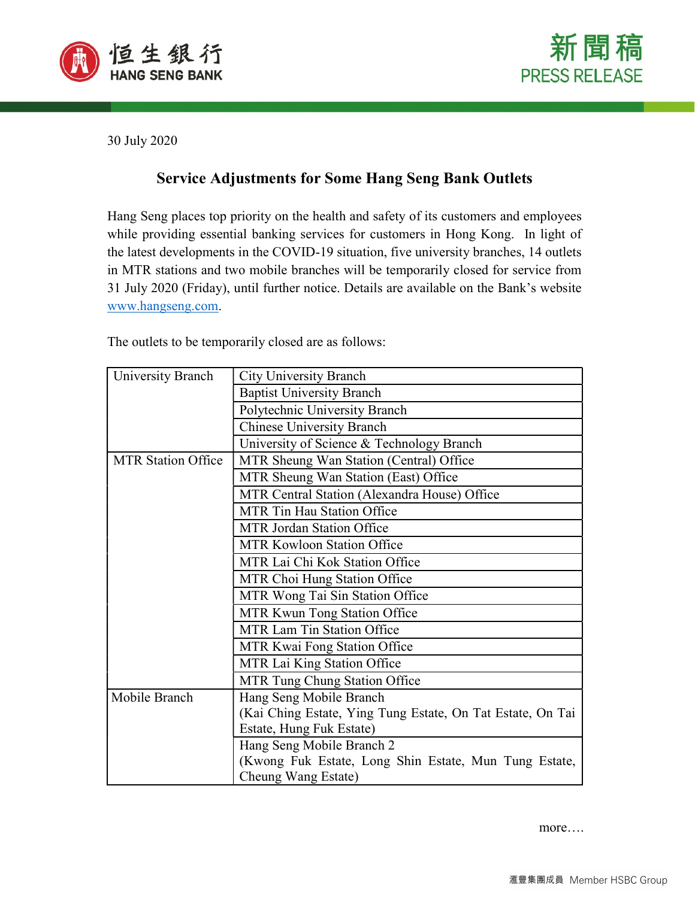



30 July 2020

## Service Adjustments for Some Hang Seng Bank Outlets

Hang Seng places top priority on the health and safety of its customers and employees while providing essential banking services for customers in Hong Kong. In light of the latest developments in the COVID-19 situation, five university branches, 14 outlets in MTR stations and two mobile branches will be temporarily closed for service from 31 July 2020 (Friday), until further notice. Details are available on the Bank's website www.hangseng.com.

The outlets to be temporarily closed are as follows:

| University Branch         | <b>City University Branch</b>                              |
|---------------------------|------------------------------------------------------------|
|                           | <b>Baptist University Branch</b>                           |
|                           | Polytechnic University Branch                              |
|                           | <b>Chinese University Branch</b>                           |
|                           | University of Science & Technology Branch                  |
| <b>MTR Station Office</b> | MTR Sheung Wan Station (Central) Office                    |
|                           | MTR Sheung Wan Station (East) Office                       |
|                           | MTR Central Station (Alexandra House) Office               |
|                           | <b>MTR Tin Hau Station Office</b>                          |
|                           | <b>MTR Jordan Station Office</b>                           |
|                           | MTR Kowloon Station Office                                 |
|                           | MTR Lai Chi Kok Station Office                             |
|                           | MTR Choi Hung Station Office                               |
|                           | MTR Wong Tai Sin Station Office                            |
|                           | MTR Kwun Tong Station Office                               |
|                           | MTR Lam Tin Station Office                                 |
|                           | MTR Kwai Fong Station Office                               |
|                           | MTR Lai King Station Office                                |
|                           | MTR Tung Chung Station Office                              |
| Mobile Branch             | Hang Seng Mobile Branch                                    |
|                           | (Kai Ching Estate, Ying Tung Estate, On Tat Estate, On Tai |
|                           | Estate, Hung Fuk Estate)                                   |
|                           | Hang Seng Mobile Branch 2                                  |
|                           | (Kwong Fuk Estate, Long Shin Estate, Mun Tung Estate,      |
|                           | Cheung Wang Estate)                                        |

more….